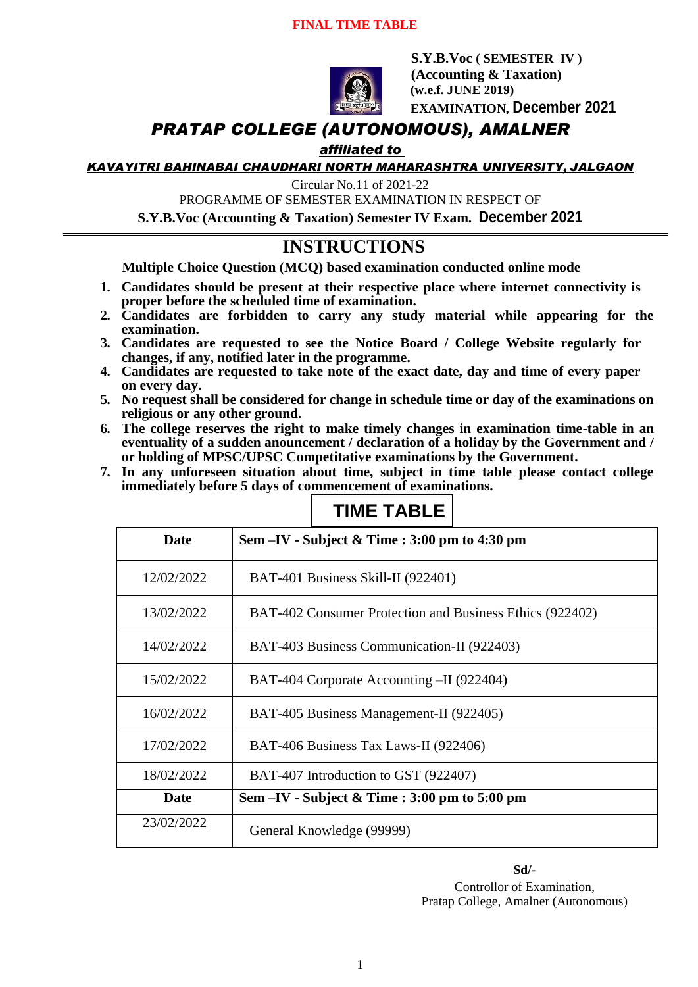#### **FINAL TIME TABLE**



 **S.Y.B.Voc ( SEMESTER IV ) (Accounting & Taxation) (w.e.f. JUNE 2019) EXAMINATION, December 2021**

### *PRATAP COLLEGE (AUTONOMOUS), AMALNER*

### *affiliated to*

*KAVAYITRI BAHINABAI CHAUDHARI NORTH MAHARASHTRA UNIVERSITY, JALGAON*

Circular No.11 of 2021-22

PROGRAMME OF SEMESTER EXAMINATION IN RESPECT OF

**S.Y.B.Voc (Accounting & Taxation) Semester IV Exam. December 2021**

# **INSTRUCTIONS**

**Multiple Choice Question (MCQ) based examination conducted online mode**

- **1. Candidates should be present at their respective place where internet connectivity is proper before the scheduled time of examination.**
- **2. Candidates are forbidden to carry any study material while appearing for the examination.**
- **3. Candidates are requested to see the Notice Board / College Website regularly for changes, if any, notified later in the programme.**
- **4. Candidates are requested to take note of the exact date, day and time of every paper on every day.**
- **5. No request shall be considered for change in schedule time or day of the examinations on religious or any other ground.**
- **6. The college reserves the right to make timely changes in examination time-table in an eventuality of a sudden anouncement / declaration of a holiday by the Government and / or holding of MPSC/UPSC Competitative examinations by the Government.**
- **7. In any unforeseen situation about time, subject in time table please contact college immediately before 5 days of commencement of examinations.**

| Date       | Sem $-IV$ - Subject & Time : 3:00 pm to 4:30 pm          |
|------------|----------------------------------------------------------|
| 12/02/2022 | BAT-401 Business Skill-II (922401)                       |
| 13/02/2022 | BAT-402 Consumer Protection and Business Ethics (922402) |
| 14/02/2022 | BAT-403 Business Communication-II (922403)               |
| 15/02/2022 | BAT-404 Corporate Accounting -II (922404)                |
| 16/02/2022 | BAT-405 Business Management-II (922405)                  |
| 17/02/2022 | BAT-406 Business Tax Laws-II (922406)                    |
| 18/02/2022 | BAT-407 Introduction to GST (922407)                     |
| Date       | Sem -IV - Subject & Time : 3:00 pm to 5:00 pm            |
| 23/02/2022 | General Knowledge (99999)                                |

# **TIME TABLE**

**Sd/-**

Controllor of Examination, Pratap College, Amalner (Autonomous)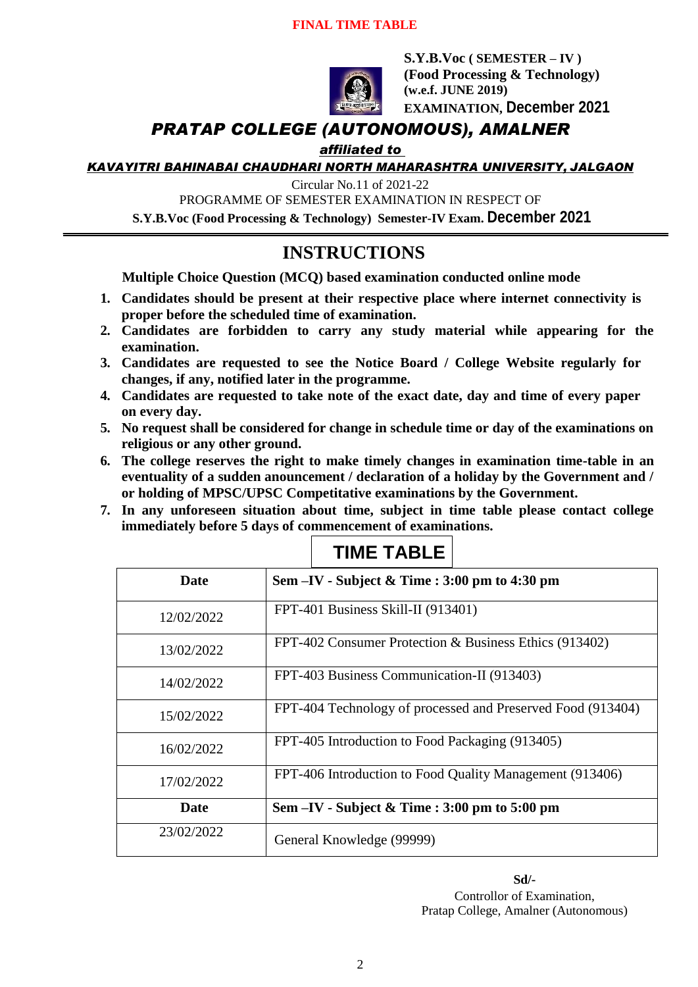### **FINAL TIME TABLE**



**S.Y.B.Voc ( SEMESTER – IV ) (Food Processing & Technology) (w.e.f. JUNE 2019) EXAMINATION, December 2021**

## *PRATAP COLLEGE (AUTONOMOUS), AMALNER*

### *affiliated to*

*KAVAYITRI BAHINABAI CHAUDHARI NORTH MAHARASHTRA UNIVERSITY, JALGAON*

Circular No.11 of 2021-22

PROGRAMME OF SEMESTER EXAMINATION IN RESPECT OF

**S.Y.B.Voc (Food Processing & Technology) Semester-IV Exam. December 2021**

# **INSTRUCTIONS**

**Multiple Choice Question (MCQ) based examination conducted online mode**

- **1. Candidates should be present at their respective place where internet connectivity is proper before the scheduled time of examination.**
- **2. Candidates are forbidden to carry any study material while appearing for the examination.**
- **3. Candidates are requested to see the Notice Board / College Website regularly for changes, if any, notified later in the programme.**
- **4. Candidates are requested to take note of the exact date, day and time of every paper on every day.**
- **5. No request shall be considered for change in schedule time or day of the examinations on religious or any other ground.**
- **6. The college reserves the right to make timely changes in examination time-table in an eventuality of a sudden anouncement / declaration of a holiday by the Government and / or holding of MPSC/UPSC Competitative examinations by the Government.**
- **7. In any unforeseen situation about time, subject in time table please contact college immediately before 5 days of commencement of examinations.**

| <b>Date</b> | Sem $-IV$ - Subject & Time : 3:00 pm to 4:30 pm             |
|-------------|-------------------------------------------------------------|
| 12/02/2022  | FPT-401 Business Skill-II (913401)                          |
| 13/02/2022  | FPT-402 Consumer Protection & Business Ethics (913402)      |
| 14/02/2022  | FPT-403 Business Communication-II (913403)                  |
| 15/02/2022  | FPT-404 Technology of processed and Preserved Food (913404) |
| 16/02/2022  | FPT-405 Introduction to Food Packaging (913405)             |
| 17/02/2022  | FPT-406 Introduction to Food Quality Management (913406)    |
| Date        | Sem $-IV$ - Subject & Time : 3:00 pm to 5:00 pm             |
| 23/02/2022  | General Knowledge (99999)                                   |

# **TIME TABLE**

**Sd/-**

Controllor of Examination, Pratap College, Amalner (Autonomous)